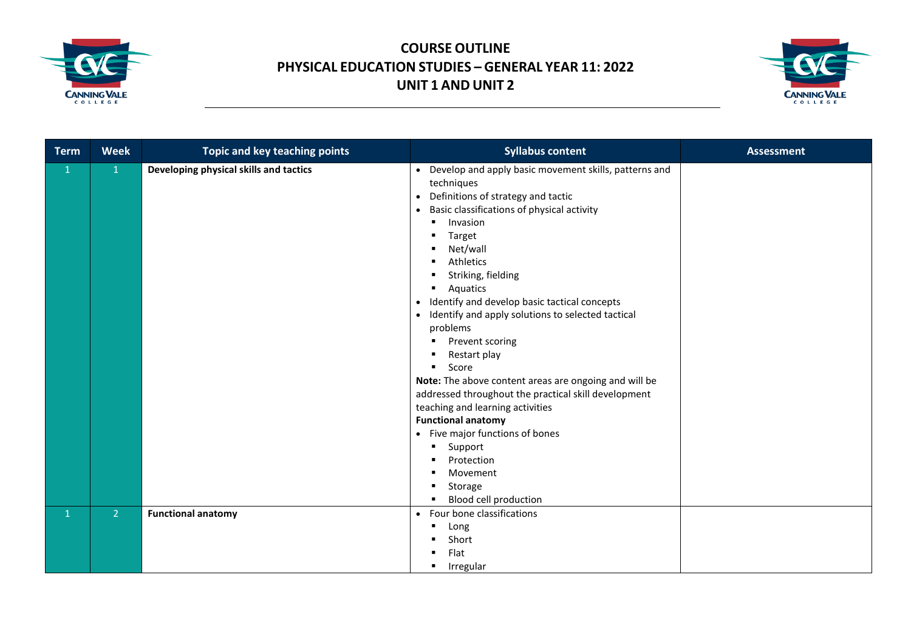



| <b>Term</b>  | <b>Week</b>    | Topic and key teaching points          | <b>Syllabus content</b>                                                                                                                                                                                                                                                                                                                                                                                                                                                                                                                                                                                                                                                                                                                                                                                       | <b>Assessment</b> |
|--------------|----------------|----------------------------------------|---------------------------------------------------------------------------------------------------------------------------------------------------------------------------------------------------------------------------------------------------------------------------------------------------------------------------------------------------------------------------------------------------------------------------------------------------------------------------------------------------------------------------------------------------------------------------------------------------------------------------------------------------------------------------------------------------------------------------------------------------------------------------------------------------------------|-------------------|
| $\mathbf{1}$ | $\mathbf{1}$   | Developing physical skills and tactics | • Develop and apply basic movement skills, patterns and<br>techniques<br>Definitions of strategy and tactic<br>$\bullet$<br>Basic classifications of physical activity<br>$\bullet$<br>Invasion<br>$\blacksquare$<br>Target<br>٠<br>Net/wall<br>Athletics<br>Striking, fielding<br>п<br>Aquatics<br>٠<br>Identify and develop basic tactical concepts<br>$\bullet$<br>• Identify and apply solutions to selected tactical<br>problems<br>Prevent scoring<br>٠<br>Restart play<br>Score<br>٠<br>Note: The above content areas are ongoing and will be<br>addressed throughout the practical skill development<br>teaching and learning activities<br><b>Functional anatomy</b><br>• Five major functions of bones<br>Support<br>٠<br>Protection<br>Movement<br>п<br>Storage<br>٠<br>Blood cell production<br>٠ |                   |
| $\mathbf{1}$ | 2 <sup>1</sup> | <b>Functional anatomy</b>              | • Four bone classifications<br>Long<br>Short<br>Flat<br>Irregular<br>٠                                                                                                                                                                                                                                                                                                                                                                                                                                                                                                                                                                                                                                                                                                                                        |                   |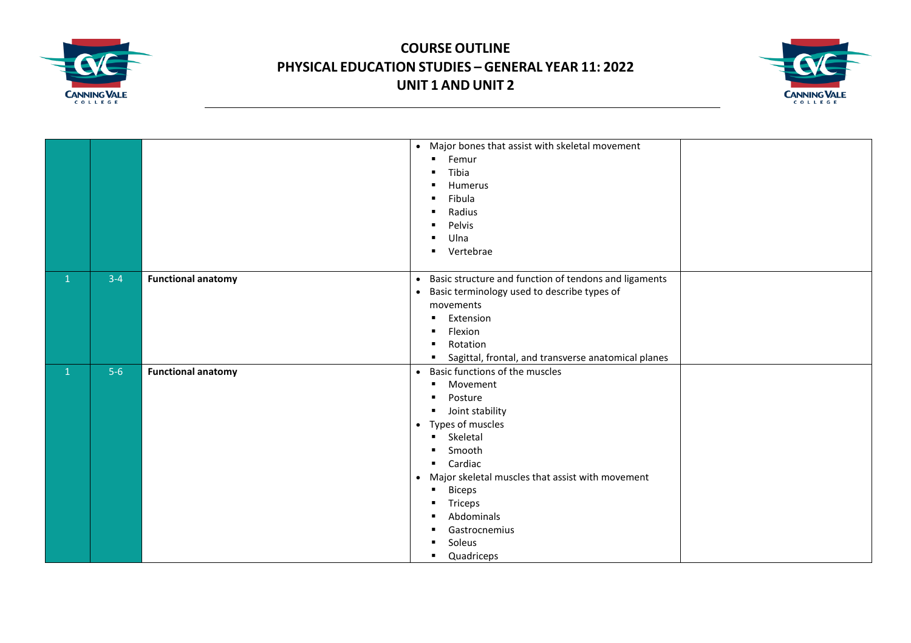



|              |       |                           | • Major bones that assist with skeletal movement                   |  |
|--------------|-------|---------------------------|--------------------------------------------------------------------|--|
|              |       |                           | Femur<br>$\blacksquare$                                            |  |
|              |       |                           | Tibia<br>$\blacksquare$                                            |  |
|              |       |                           | Humerus<br>п                                                       |  |
|              |       |                           | Fibula<br>$\blacksquare$                                           |  |
|              |       |                           | Radius<br>$\blacksquare$                                           |  |
|              |       |                           | Pelvis                                                             |  |
|              |       |                           | Ulna<br>п                                                          |  |
|              |       |                           | Vertebrae<br>$\blacksquare$                                        |  |
|              |       |                           |                                                                    |  |
| $\mathbf{1}$ | $3-4$ | <b>Functional anatomy</b> | Basic structure and function of tendons and ligaments<br>$\bullet$ |  |
|              |       |                           | • Basic terminology used to describe types of                      |  |
|              |       |                           | movements                                                          |  |
|              |       |                           | Extension<br>п.                                                    |  |
|              |       |                           | Flexion<br>$\blacksquare$                                          |  |
|              |       |                           | Rotation<br>$\blacksquare$                                         |  |
|              |       |                           | Sagittal, frontal, and transverse anatomical planes                |  |
| $\mathbf{1}$ | $5-6$ | <b>Functional anatomy</b> | • Basic functions of the muscles                                   |  |
|              |       |                           | Movement<br>٠                                                      |  |
|              |       |                           | Posture<br>$\blacksquare$                                          |  |
|              |       |                           | • Joint stability                                                  |  |
|              |       |                           | • Types of muscles                                                 |  |
|              |       |                           | Skeletal<br>$\blacksquare$                                         |  |
|              |       |                           | Smooth<br>$\blacksquare$                                           |  |
|              |       |                           | Cardiac<br>$\blacksquare$                                          |  |
|              |       |                           | • Major skeletal muscles that assist with movement                 |  |
|              |       |                           | <b>Biceps</b><br>$\blacksquare$                                    |  |
|              |       |                           | Triceps<br>٠                                                       |  |
|              |       |                           | Abdominals<br>п                                                    |  |
|              |       |                           | Gastrocnemius<br>٠                                                 |  |
|              |       |                           | Soleus                                                             |  |
|              |       |                           | Quadriceps<br>٠                                                    |  |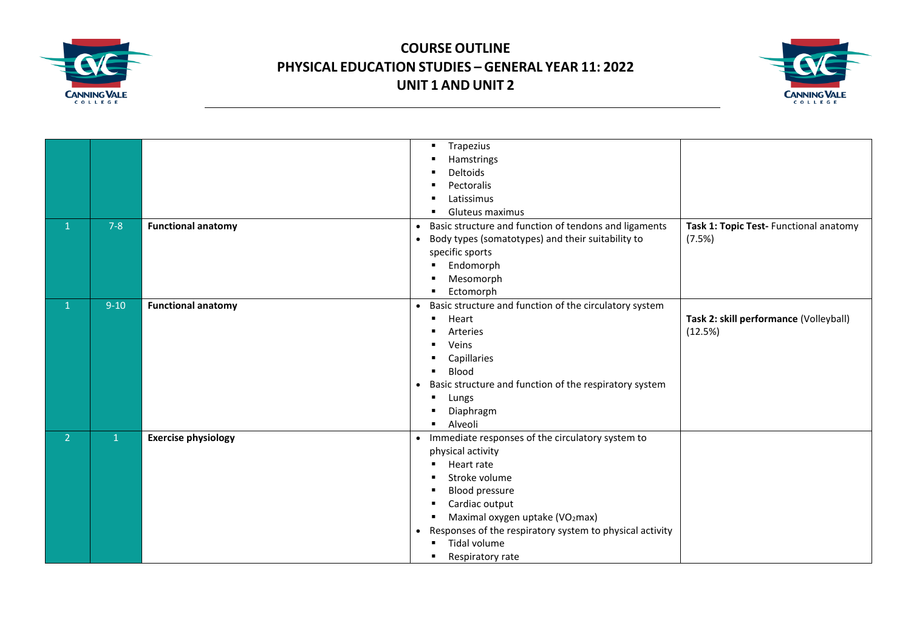



|                |              |                            | Trapezius<br>٠<br>Hamstrings<br>Deltoids<br>Pectoralis<br>Latissimus<br>Gluteus maximus                                                                                                                                                                                                              |                                                   |
|----------------|--------------|----------------------------|------------------------------------------------------------------------------------------------------------------------------------------------------------------------------------------------------------------------------------------------------------------------------------------------------|---------------------------------------------------|
| $\mathbf{1}$   | $7 - 8$      | <b>Functional anatomy</b>  | Basic structure and function of tendons and ligaments<br>$\bullet$<br>Body types (somatotypes) and their suitability to<br>$\bullet$<br>specific sports<br>Endomorph<br>٠<br>Mesomorph<br>Ectomorph                                                                                                  | Task 1: Topic Test- Functional anatomy<br>(7.5%)  |
| 1              | $9-10$       | <b>Functional anatomy</b>  | Basic structure and function of the circulatory system<br>$\bullet$<br>Heart<br>$\blacksquare$<br>Arteries<br>Veins<br>٠<br>Capillaries<br>Blood<br>Basic structure and function of the respiratory system<br>$\bullet$<br>Lungs<br>Diaphragm<br>Alveoli                                             | Task 2: skill performance (Volleyball)<br>(12.5%) |
| 2 <sup>1</sup> | $\mathbf{1}$ | <b>Exercise physiology</b> | Immediate responses of the circulatory system to<br>$\bullet$<br>physical activity<br>Heart rate<br>Stroke volume<br>Blood pressure<br>Cardiac output<br>Maximal oxygen uptake (VO2max)<br>Responses of the respiratory system to physical activity<br>$\bullet$<br>Tidal volume<br>Respiratory rate |                                                   |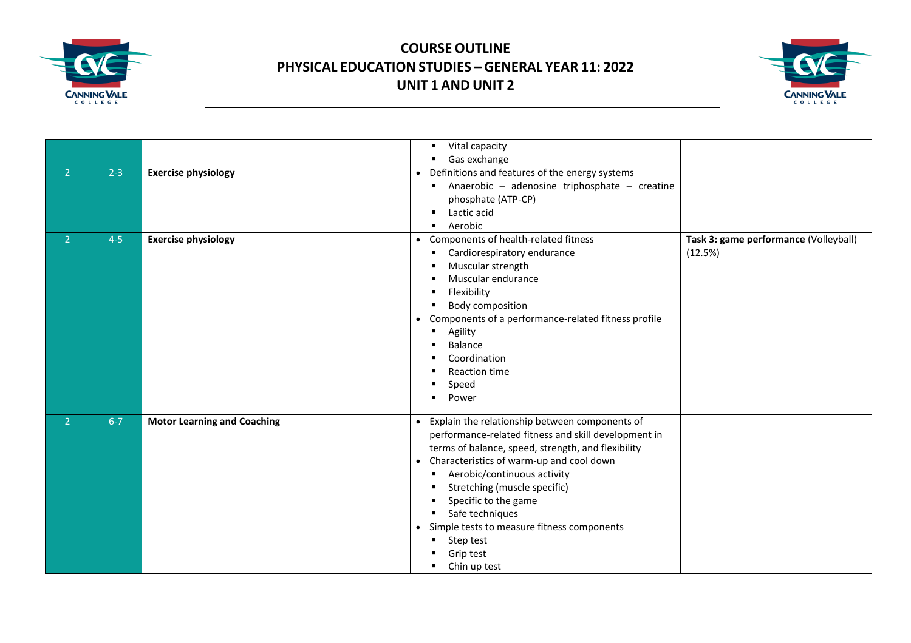



|                |         |                                    | Vital capacity<br>٠                                                                                                                                                                                                                                                                                                                                                                                                                         |                                                  |
|----------------|---------|------------------------------------|---------------------------------------------------------------------------------------------------------------------------------------------------------------------------------------------------------------------------------------------------------------------------------------------------------------------------------------------------------------------------------------------------------------------------------------------|--------------------------------------------------|
|                |         |                                    | Gas exchange                                                                                                                                                                                                                                                                                                                                                                                                                                |                                                  |
| $\overline{2}$ | $2 - 3$ | <b>Exercise physiology</b>         | Definitions and features of the energy systems<br>$\bullet$<br>Anaerobic - adenosine triphosphate - creatine<br>phosphate (ATP-CP)<br>Lactic acid<br>٠<br>Aerobic<br>$\blacksquare$                                                                                                                                                                                                                                                         |                                                  |
| 2 <sup>1</sup> | $4 - 5$ | <b>Exercise physiology</b>         | • Components of health-related fitness<br>Cardiorespiratory endurance<br>Muscular strength<br>Muscular endurance<br>Flexibility<br>Body composition<br>• Components of a performance-related fitness profile<br>Agility<br>$\blacksquare$<br>Balance<br>Coordination<br>Reaction time<br>Speed<br>Power                                                                                                                                     | Task 3: game performance (Volleyball)<br>(12.5%) |
| 2 <sup>1</sup> | $6 - 7$ | <b>Motor Learning and Coaching</b> | Explain the relationship between components of<br>$\bullet$<br>performance-related fitness and skill development in<br>terms of balance, speed, strength, and flexibility<br>• Characteristics of warm-up and cool down<br>Aerobic/continuous activity<br>Stretching (muscle specific)<br>Specific to the game<br>Safe techniques<br>٠<br>Simple tests to measure fitness components<br>$\bullet$<br>Step test<br>Grip test<br>Chin up test |                                                  |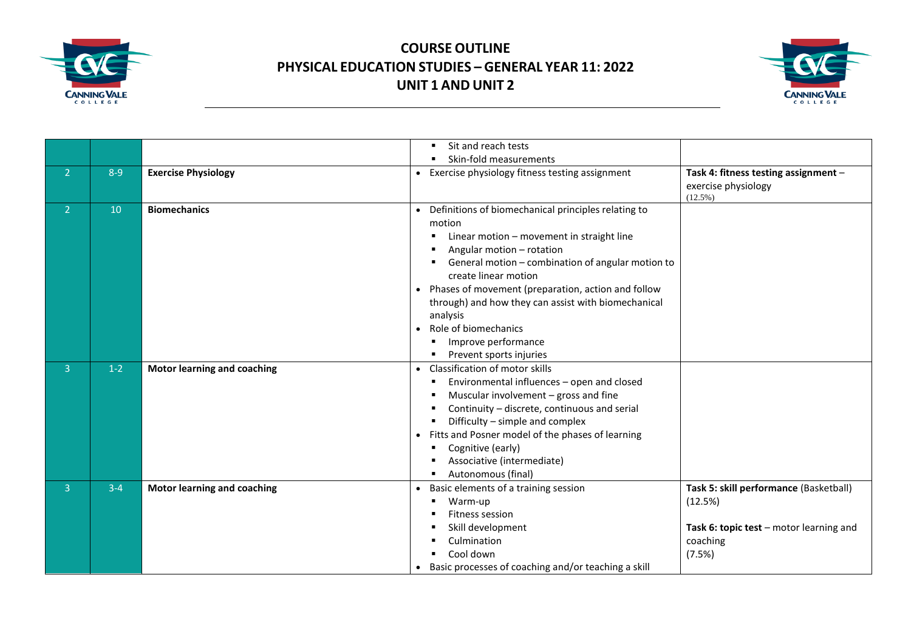



|                |         |                                    | Sit and reach tests                                                                                                                                                                                                                                                                                                                                                                                                                               |                                                                                                                    |
|----------------|---------|------------------------------------|---------------------------------------------------------------------------------------------------------------------------------------------------------------------------------------------------------------------------------------------------------------------------------------------------------------------------------------------------------------------------------------------------------------------------------------------------|--------------------------------------------------------------------------------------------------------------------|
|                |         |                                    | Skin-fold measurements                                                                                                                                                                                                                                                                                                                                                                                                                            |                                                                                                                    |
| $\overline{2}$ | $8 - 9$ | <b>Exercise Physiology</b>         | Exercise physiology fitness testing assignment<br>$\bullet$                                                                                                                                                                                                                                                                                                                                                                                       | Task 4: fitness testing assignment -<br>exercise physiology<br>$(12.5\%)$                                          |
| $\overline{2}$ | 10      | <b>Biomechanics</b>                | Definitions of biomechanical principles relating to<br>motion<br>Linear motion - movement in straight line<br>Angular motion - rotation<br>General motion - combination of angular motion to<br>create linear motion<br>Phases of movement (preparation, action and follow<br>$\bullet$<br>through) and how they can assist with biomechanical<br>analysis<br>Role of biomechanics<br>$\bullet$<br>Improve performance<br>Prevent sports injuries |                                                                                                                    |
| $\overline{3}$ | $1-2$   | <b>Motor learning and coaching</b> | • Classification of motor skills<br>Environmental influences - open and closed<br>٠<br>Muscular involvement - gross and fine<br>Continuity - discrete, continuous and serial<br>Difficulty - simple and complex<br>Fitts and Posner model of the phases of learning<br>$\bullet$<br>Cognitive (early)<br>Associative (intermediate)<br>Autonomous (final)                                                                                         |                                                                                                                    |
| $\overline{3}$ | $3 - 4$ | <b>Motor learning and coaching</b> | Basic elements of a training session<br>Warm-up<br>Fitness session<br>Skill development<br>Culmination<br>Cool down<br>Basic processes of coaching and/or teaching a skill                                                                                                                                                                                                                                                                        | Task 5: skill performance (Basketball)<br>(12.5%)<br>Task 6: topic test - motor learning and<br>coaching<br>(7.5%) |